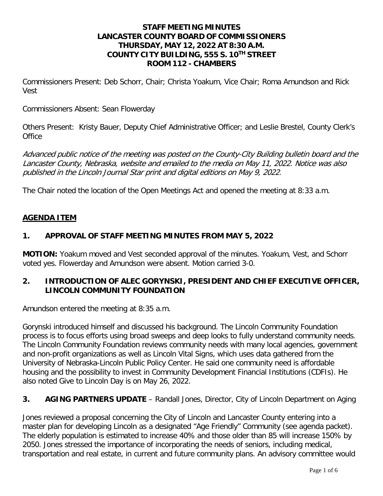## **STAFF MEETING MINUTES LANCASTER COUNTY BOARD OF COMMISSIONERS THURSDAY, MAY 12, 2022 AT 8:30 A.M. COUNTY CITY BUILDING, 555 S. 10TH STREET ROOM 112 - CHAMBERS**

Commissioners Present: Deb Schorr, Chair; Christa Yoakum, Vice Chair; Roma Amundson and Rick Vest

Commissioners Absent: Sean Flowerday

Others Present: Kristy Bauer, Deputy Chief Administrative Officer; and Leslie Brestel, County Clerk's **Office** 

Advanced public notice of the meeting was posted on the County-City Building bulletin board and the Lancaster County, Nebraska, website and emailed to the media on May 11, 2022. Notice was also published in the Lincoln Journal Star print and digital editions on May 9, 2022.

The Chair noted the location of the Open Meetings Act and opened the meeting at 8:33 a.m.

#### **AGENDA ITEM**

## **1. APPROVAL OF STAFF MEETING MINUTES FROM MAY 5, 2022**

**MOTION:** Yoakum moved and Vest seconded approval of the minutes. Yoakum, Vest, and Schorr voted yes. Flowerday and Amundson were absent. Motion carried 3-0.

## **2. INTRODUCTION OF ALEC GORYNSKI, PRESIDENT AND CHIEF EXECUTIVE OFFICER, LINCOLN COMMUNITY FOUNDATION**

Amundson entered the meeting at 8:35 a.m.

Gorynski introduced himself and discussed his background. The Lincoln Community Foundation process is to focus efforts using broad sweeps and deep looks to fully understand community needs. The Lincoln Community Foundation reviews community needs with many local agencies, government and non-profit organizations as well as Lincoln Vital Signs, which uses data gathered from the University of Nebraska-Lincoln Public Policy Center. He said one community need is affordable housing and the possibility to invest in Community Development Financial Institutions (CDFIs). He also noted Give to Lincoln Day is on May 26, 2022.

## **3. AGING PARTNERS UPDATE** – Randall Jones, Director, City of Lincoln Department on Aging

Jones reviewed a proposal concerning the City of Lincoln and Lancaster County entering into a master plan for developing Lincoln as a designated "Age Friendly" Community (see agenda packet). The elderly population is estimated to increase 40% and those older than 85 will increase 150% by 2050. Jones stressed the importance of incorporating the needs of seniors, including medical, transportation and real estate, in current and future community plans. An advisory committee would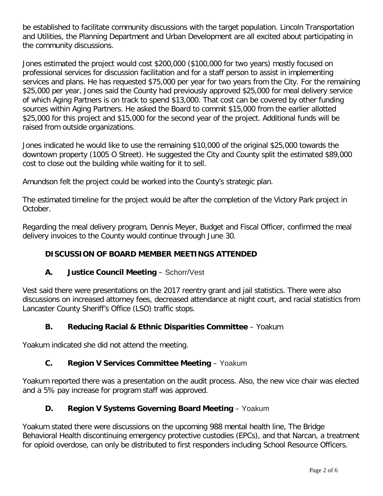be established to facilitate community discussions with the target population. Lincoln Transportation and Utilities, the Planning Department and Urban Development are all excited about participating in the community discussions.

Jones estimated the project would cost \$200,000 (\$100,000 for two years) mostly focused on professional services for discussion facilitation and for a staff person to assist in implementing services and plans. He has requested \$75,000 per year for two years from the City. For the remaining \$25,000 per year, Jones said the County had previously approved \$25,000 for meal delivery service of which Aging Partners is on track to spend \$13,000. That cost can be covered by other funding sources within Aging Partners. He asked the Board to commit \$15,000 from the earlier allotted \$25,000 for this project and \$15,000 for the second year of the project. Additional funds will be raised from outside organizations.

Jones indicated he would like to use the remaining \$10,000 of the original \$25,000 towards the downtown property (1005 O Street). He suggested the City and County split the estimated \$89,000 cost to close out the building while waiting for it to sell.

Amundson felt the project could be worked into the County's strategic plan.

The estimated timeline for the project would be after the completion of the Victory Park project in October.

Regarding the meal delivery program, Dennis Meyer, Budget and Fiscal Officer, confirmed the meal delivery invoices to the County would continue through June 30.

# **DISCUSSION OF BOARD MEMBER MEETINGS ATTENDED**

# **A. Justice Council Meeting** – Schorr/Vest

Vest said there were presentations on the 2017 reentry grant and jail statistics. There were also discussions on increased attorney fees, decreased attendance at night court, and racial statistics from Lancaster County Sheriff's Office (LSO) traffic stops.

# **B. Reducing Racial & Ethnic Disparities Committee** – Yoakum

Yoakum indicated she did not attend the meeting.

# **C. Region V Services Committee Meeting** – Yoakum

Yoakum reported there was a presentation on the audit process. Also, the new vice chair was elected and a 5% pay increase for program staff was approved.

# **D. Region V Systems Governing Board Meeting** – Yoakum

Yoakum stated there were discussions on the upcoming 988 mental health line, The Bridge Behavioral Health discontinuing emergency protective custodies (EPCs), and that Narcan, a treatment for opioid overdose, can only be distributed to first responders including School Resource Officers.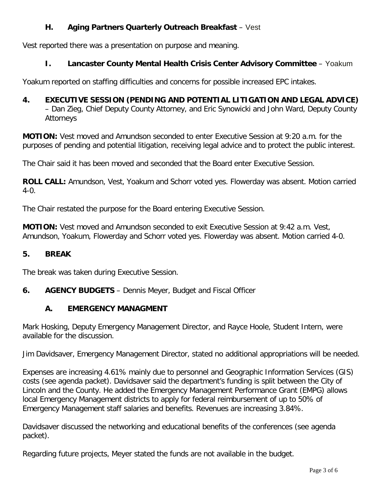# **H. Aging Partners Quarterly Outreach Breakfast** – Vest

Vest reported there was a presentation on purpose and meaning.

# **I. Lancaster County Mental Health Crisis Center Advisory Committee** – Yoakum

Yoakum reported on staffing difficulties and concerns for possible increased EPC intakes.

# **4. EXECUTIVE SESSION (PENDING AND POTENTIAL LITIGATION AND LEGAL ADVICE)**

– Dan Zieg, Chief Deputy County Attorney, and Eric Synowicki and John Ward, Deputy County Attorneys

**MOTION:** Vest moved and Amundson seconded to enter Executive Session at 9:20 a.m. for the purposes of pending and potential litigation, receiving legal advice and to protect the public interest.

The Chair said it has been moved and seconded that the Board enter Executive Session.

**ROLL CALL:** Amundson, Vest, Yoakum and Schorr voted yes. Flowerday was absent. Motion carried 4-0.

The Chair restated the purpose for the Board entering Executive Session.

**MOTION:** Vest moved and Amundson seconded to exit Executive Session at 9:42 a.m. Vest, Amundson, Yoakum, Flowerday and Schorr voted yes. Flowerday was absent. Motion carried 4-0.

## **5. BREAK**

The break was taken during Executive Session.

**6. AGENCY BUDGETS** – Dennis Meyer, Budget and Fiscal Officer

## **A. EMERGENCY MANAGMENT**

Mark Hosking, Deputy Emergency Management Director, and Rayce Hoole, Student Intern, were available for the discussion.

Jim Davidsaver, Emergency Management Director, stated no additional appropriations will be needed.

Expenses are increasing 4.61% mainly due to personnel and Geographic Information Services (GIS) costs (see agenda packet). Davidsaver said the department's funding is split between the City of Lincoln and the County. He added the Emergency Management Performance Grant (EMPG) allows local Emergency Management districts to apply for federal reimbursement of up to 50% of Emergency Management staff salaries and benefits. Revenues are increasing 3.84%.

Davidsaver discussed the networking and educational benefits of the conferences (see agenda packet).

Regarding future projects, Meyer stated the funds are not available in the budget.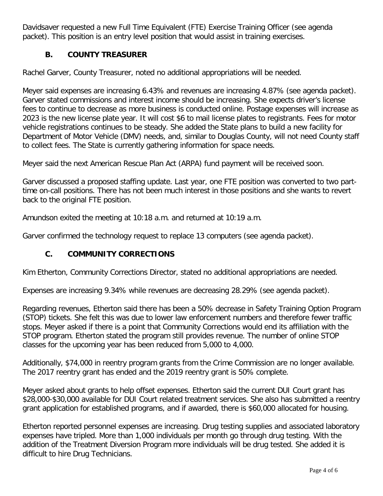Davidsaver requested a new Full Time Equivalent (FTE) Exercise Training Officer (see agenda packet). This position is an entry level position that would assist in training exercises.

# **B. COUNTY TREASURER**

Rachel Garver, County Treasurer, noted no additional appropriations will be needed.

Meyer said expenses are increasing 6.43% and revenues are increasing 4.87% (see agenda packet). Garver stated commissions and interest income should be increasing. She expects driver's license fees to continue to decrease as more business is conducted online. Postage expenses will increase as 2023 is the new license plate year. It will cost \$6 to mail license plates to registrants. Fees for motor vehicle registrations continues to be steady. She added the State plans to build a new facility for Department of Motor Vehicle (DMV) needs, and, similar to Douglas County, will not need County staff to collect fees. The State is currently gathering information for space needs.

Meyer said the next American Rescue Plan Act (ARPA) fund payment will be received soon.

Garver discussed a proposed staffing update. Last year, one FTE position was converted to two parttime on-call positions. There has not been much interest in those positions and she wants to revert back to the original FTE position.

Amundson exited the meeting at 10:18 a.m. and returned at 10:19 a.m.

Garver confirmed the technology request to replace 13 computers (see agenda packet).

# **C. COMMUNITY CORRECTIONS**

Kim Etherton, Community Corrections Director, stated no additional appropriations are needed.

Expenses are increasing 9.34% while revenues are decreasing 28.29% (see agenda packet).

Regarding revenues, Etherton said there has been a 50% decrease in Safety Training Option Program (STOP) tickets. She felt this was due to lower law enforcement numbers and therefore fewer traffic stops. Meyer asked if there is a point that Community Corrections would end its affiliation with the STOP program. Etherton stated the program still provides revenue. The number of online STOP classes for the upcoming year has been reduced from 5,000 to 4,000.

Additionally, \$74,000 in reentry program grants from the Crime Commission are no longer available. The 2017 reentry grant has ended and the 2019 reentry grant is 50% complete.

Meyer asked about grants to help offset expenses. Etherton said the current DUI Court grant has \$28,000-\$30,000 available for DUI Court related treatment services. She also has submitted a reentry grant application for established programs, and if awarded, there is \$60,000 allocated for housing.

Etherton reported personnel expenses are increasing. Drug testing supplies and associated laboratory expenses have tripled. More than 1,000 individuals per month go through drug testing. With the addition of the Treatment Diversion Program more individuals will be drug tested. She added it is difficult to hire Drug Technicians.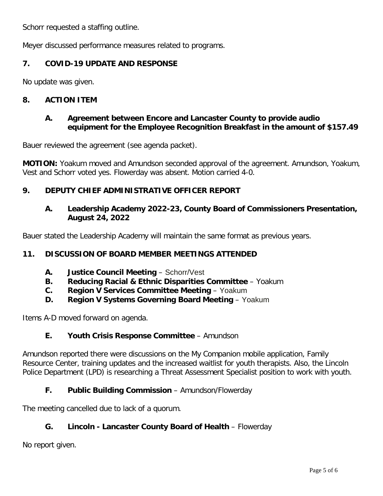Schorr requested a staffing outline.

Meyer discussed performance measures related to programs.

# **7. COVID-19 UPDATE AND RESPONSE**

No update was given.

## **8. ACTION ITEM**

## **A. Agreement between Encore and Lancaster County to provide audio equipment for the Employee Recognition Breakfast in the amount of \$157.49**

Bauer reviewed the agreement (see agenda packet).

**MOTION:** Yoakum moved and Amundson seconded approval of the agreement. Amundson, Yoakum, Vest and Schorr voted yes. Flowerday was absent. Motion carried 4-0.

## **9. DEPUTY CHIEF ADMINISTRATIVE OFFICER REPORT**

## **A. Leadership Academy 2022-23, County Board of Commissioners Presentation, August 24, 2022**

Bauer stated the Leadership Academy will maintain the same format as previous years.

## **11. DISCUSSION OF BOARD MEMBER MEETINGS ATTENDED**

- **A. Justice Council Meeting** Schorr/Vest
- **B. Reducing Racial & Ethnic Disparities Committee** Yoakum
- **C. Region V Services Committee Meeting** Yoakum
- **D. Region V Systems Governing Board Meeting** Yoakum

Items A-D moved forward on agenda.

## **E. Youth Crisis Response Committee** – Amundson

Amundson reported there were discussions on the My Companion mobile application, Family Resource Center, training updates and the increased waitlist for youth therapists. Also, the Lincoln Police Department (LPD) is researching a Threat Assessment Specialist position to work with youth.

## **F. Public Building Commission** – Amundson/Flowerday

The meeting cancelled due to lack of a quorum.

# **G. Lincoln - Lancaster County Board of Health** – Flowerday

No report given.